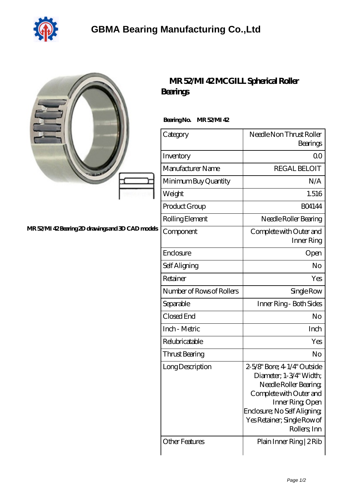

|                                                 | MR 52MI 42MCGILL Spherical Roller<br><b>Beatings</b> |                                                                                                                                                                                                               |
|-------------------------------------------------|------------------------------------------------------|---------------------------------------------------------------------------------------------------------------------------------------------------------------------------------------------------------------|
| MR 52MI 42Bearing 2D drawings and 3D CAD models | BearingNo.<br>MR52MI42                               |                                                                                                                                                                                                               |
|                                                 | Category                                             | Needle Non Thrust Roller<br>Bearings                                                                                                                                                                          |
|                                                 | Inventory                                            | 0 <sub>0</sub>                                                                                                                                                                                                |
|                                                 | Manufacturer Name                                    | <b>REGAL BELOIT</b>                                                                                                                                                                                           |
|                                                 | Minimum Buy Quantity                                 | N/A                                                                                                                                                                                                           |
|                                                 | Weight                                               | 1.516                                                                                                                                                                                                         |
|                                                 | Product Group                                        | <b>BO4144</b>                                                                                                                                                                                                 |
|                                                 | Rolling Element                                      | Needle Roller Bearing                                                                                                                                                                                         |
|                                                 | Component                                            | Complete with Outer and<br>Inner Ring                                                                                                                                                                         |
|                                                 | Enclosure                                            | Open                                                                                                                                                                                                          |
|                                                 | Self Aligning                                        | N <sub>o</sub>                                                                                                                                                                                                |
|                                                 | Retainer                                             | Yes                                                                                                                                                                                                           |
|                                                 | Number of Rows of Rollers                            | Single Row                                                                                                                                                                                                    |
|                                                 | Separable                                            | Inner Ring - Both Sides                                                                                                                                                                                       |
|                                                 | Closed End                                           | No                                                                                                                                                                                                            |
|                                                 | Inch - Metric                                        | Inch                                                                                                                                                                                                          |
|                                                 | Relubricatable                                       | Yes                                                                                                                                                                                                           |
|                                                 | Thrust Bearing                                       | No                                                                                                                                                                                                            |
|                                                 | Long Description                                     | 2-5/8" Bore; 4-1/4" Outside<br>Diameter; 1-3/4" Width;<br>Needle Roller Bearing<br>Complete with Outer and<br>Inner Ring, Open<br>Enclosure; No Self Aligning;<br>Yes Retainer; Single Row of<br>Rollers, Inn |
|                                                 | <b>Other Features</b>                                | Plain Inner Ring   2 Rib                                                                                                                                                                                      |